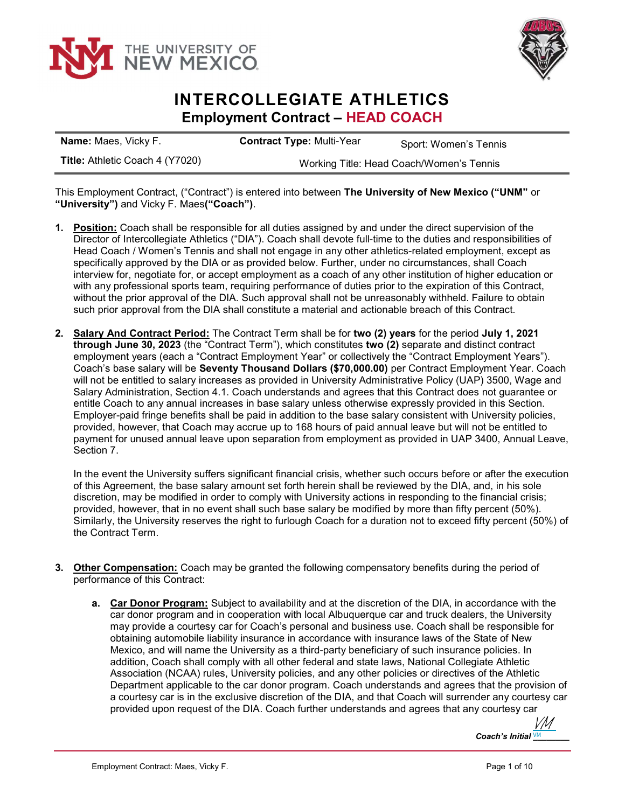



## INTERCOLLEGIATE ATHLETICS Employment Contract – HEAD COACH

| <b>Name: Maes, Vicky F.</b>     | <b>Contract Type: Multi-Year</b>         | Sport: Women's Tennis |
|---------------------------------|------------------------------------------|-----------------------|
| Title: Athletic Coach 4 (Y7020) | Working Title: Head Coach/Women's Tennis |                       |

This Employment Contract, ("Contract") is entered into between The University of New Mexico ("UNM" or "University") and Vicky F. Maes("Coach").

- 1. Position: Coach shall be responsible for all duties assigned by and under the direct supervision of the Director of Intercollegiate Athletics ("DIA"). Coach shall devote full-time to the duties and responsibilities of Head Coach / Women's Tennis and shall not engage in any other athletics-related employment, except as specifically approved by the DIA or as provided below. Further, under no circumstances, shall Coach interview for, negotiate for, or accept employment as a coach of any other institution of higher education or with any professional sports team, requiring performance of duties prior to the expiration of this Contract, without the prior approval of the DIA. Such approval shall not be unreasonably withheld. Failure to obtain such prior approval from the DIA shall constitute a material and actionable breach of this Contract.
- 2. Salary And Contract Period: The Contract Term shall be for two (2) years for the period July 1, 2021 through June 30, 2023 (the "Contract Term"), which constitutes two (2) separate and distinct contract employment years (each a "Contract Employment Year" or collectively the "Contract Employment Years"). Coach's base salary will be Seventy Thousand Dollars (\$70,000.00) per Contract Employment Year. Coach will not be entitled to salary increases as provided in University Administrative Policy (UAP) 3500, Wage and Salary Administration, Section 4.1. Coach understands and agrees that this Contract does not guarantee or entitle Coach to any annual increases in base salary unless otherwise expressly provided in this Section. Employer-paid fringe benefits shall be paid in addition to the base salary consistent with University policies, provided, however, that Coach may accrue up to 168 hours of paid annual leave but will not be entitled to payment for unused annual leave upon separation from employment as provided in UAP 3400, Annual Leave, Section 7.

In the event the University suffers significant financial crisis, whether such occurs before or after the execution of this Agreement, the base salary amount set forth herein shall be reviewed by the DIA, and, in his sole discretion, may be modified in order to comply with University actions in responding to the financial crisis; provided, however, that in no event shall such base salary be modified by more than fifty percent (50%). Similarly, the University reserves the right to furlough Coach for a duration not to exceed fifty percent (50%) of the Contract Term.

- 3. Other Compensation: Coach may be granted the following compensatory benefits during the period of performance of this Contract:
	- **a.** Car Donor Program: Subject to availability and at the discretion of the DIA, in accordance with the car donor program and in cooperation with local Albuquerque car and truck dealers, the University may provide a courtesy car for Coach's personal and business use. Coach shall be responsible for obtaining automobile liability insurance in accordance with insurance laws of the State of New Mexico, and will name the University as a third-party beneficiary of such insurance policies. In addition, Coach shall comply with all other federal and state laws, National Collegiate Athletic Association (NCAA) rules, University policies, and any other policies or directives of the Athletic Department applicable to the car donor program. Coach understands and agrees that the provision of a courtesy car is in the exclusive discretion of the DIA, and that Coach will surrender any courtesy car provided upon request of the DIA. Coach further understands and agrees that any courtesy car

Coach's Initial  $\underline{V}M$ [VM](https://secure.na2.echosign.com/verifier?tx=CBJCHBCAABAA42YKeO8h1K705N6JrRT-3W76QvjH2LVO)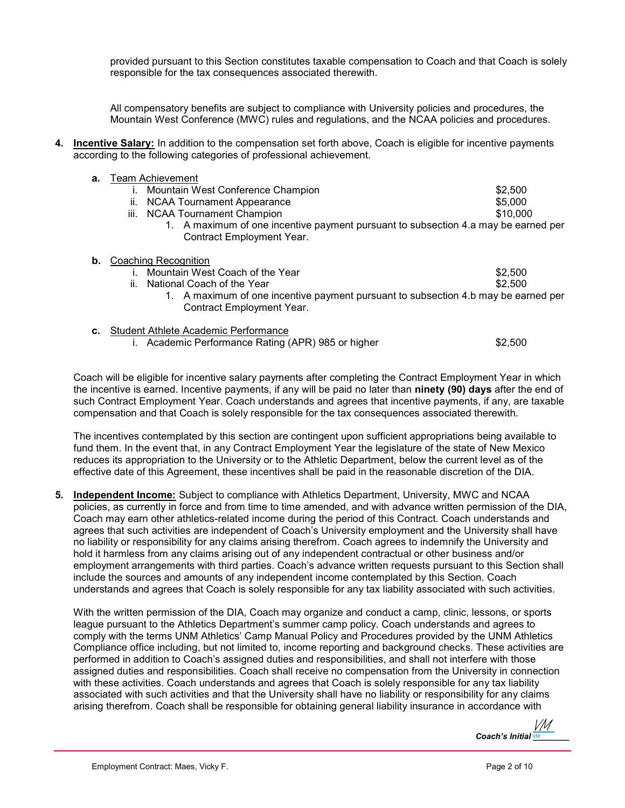provided pursuant to this Section constitutes taxable compensation to Coach and that Coach is solely responsible for the tax consequences associated therewith.

All compensatory benefits are subject to compliance with University policies and procedures, the Mountain West Conference (MWC) rules and regulations, and the NCAA policies and procedures.

4. Incentive Salary: In addition to the compensation set forth above, Coach is eligible for incentive payments according to the following categories of professional achievement.

|    | <b>a.</b> Team Achievement                                                         |          |  |
|----|------------------------------------------------------------------------------------|----------|--|
|    | Mountain West Conference Champion                                                  | \$2,500  |  |
|    | <b>NCAA Tournament Appearance</b><br>ii.                                           | \$5,000  |  |
|    | iii.<br><b>NCAA Tournament Champion</b>                                            | \$10,000 |  |
|    | 1. A maximum of one incentive payment pursuant to subsection 4.a may be earned per |          |  |
|    | Contract Employment Year.                                                          |          |  |
| b. | Coaching Recognition                                                               |          |  |
|    | Mountain West Coach of the Year                                                    | \$2,500  |  |
|    | ii.<br>National Coach of the Year                                                  | \$2,500  |  |
|    | 1. A maximum of one incentive payment pursuant to subsection 4.b may be earned per |          |  |
|    | <b>Contract Employment Year.</b>                                                   |          |  |
| c. | Student Athlete Academic Performance                                               |          |  |
|    |                                                                                    |          |  |

i. Academic Performance Rating (APR) 985 or higher  $$2,500$ 

Coach will be eligible for incentive salary payments after completing the Contract Employment Year in which the incentive is earned. Incentive payments, if any will be paid no later than ninety (90) days after the end of such Contract Employment Year. Coach understands and agrees that incentive payments, if any, are taxable compensation and that Coach is solely responsible for the tax consequences associated therewith.

The incentives contemplated by this section are contingent upon sufficient appropriations being available to fund them. In the event that, in any Contract Employment Year the legislature of the state of New Mexico reduces its appropriation to the University or to the Athletic Department, below the current level as of the effective date of this Agreement, these incentives shall be paid in the reasonable discretion of the DIA.

5. Independent Income: Subject to compliance with Athletics Department, University, MWC and NCAA policies, as currently in force and from time to time amended, and with advance written permission of the DIA, Coach may earn other athletics-related income during the period of this Contract. Coach understands and agrees that such activities are independent of Coach's University employment and the University shall have no liability or responsibility for any claims arising therefrom. Coach agrees to indemnify the University and hold it harmless from any claims arising out of any independent contractual or other business and/or employment arrangements with third parties. Coach's advance written requests pursuant to this Section shall include the sources and amounts of any independent income contemplated by this Section. Coach understands and agrees that Coach is solely responsible for any tax liability associated with such activities.

With the written permission of the DIA, Coach may organize and conduct a camp, clinic, lessons, or sports league pursuant to the Athletics Department's summer camp policy. Coach understands and agrees to comply with the terms UNM Athletics' Camp Manual Policy and Procedures provided by the UNM Athletics Compliance office including, but not limited to, income reporting and background checks. These activities are performed in addition to Coach's assigned duties and responsibilities, and shall not interfere with those assigned duties and responsibilities. Coach shall receive no compensation from the University in connection with these activities. Coach understands and agrees that Coach is solely responsible for any tax liability associated with such activities and that the University shall have no liability or responsibility for any claims arising therefrom. Coach shall be responsible for obtaining general liability insurance in accordance with

Coach's Initial  $\underline{\mathsf{v}}$ <sup>M</sup> VM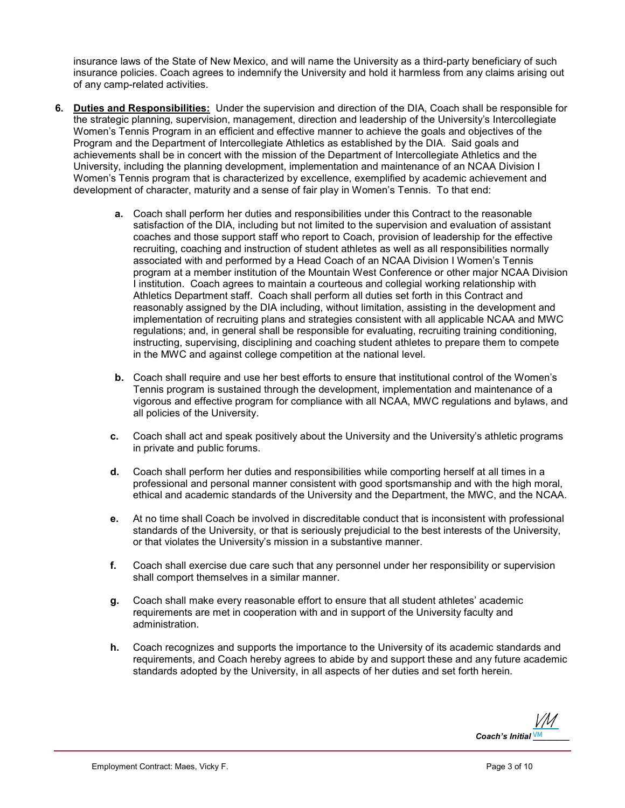insurance laws of the State of New Mexico, and will name the University as a third-party beneficiary of such insurance policies. Coach agrees to indemnify the University and hold it harmless from any claims arising out of any camp-related activities.

- 6. Duties and Responsibilities: Under the supervision and direction of the DIA, Coach shall be responsible for the strategic planning, supervision, management, direction and leadership of the University's Intercollegiate Women's Tennis Program in an efficient and effective manner to achieve the goals and objectives of the Program and the Department of Intercollegiate Athletics as established by the DIA. Said goals and achievements shall be in concert with the mission of the Department of Intercollegiate Athletics and the University, including the planning development, implementation and maintenance of an NCAA Division I Women's Tennis program that is characterized by excellence, exemplified by academic achievement and development of character, maturity and a sense of fair play in Women's Tennis. To that end:
	- a. Coach shall perform her duties and responsibilities under this Contract to the reasonable satisfaction of the DIA, including but not limited to the supervision and evaluation of assistant coaches and those support staff who report to Coach, provision of leadership for the effective recruiting, coaching and instruction of student athletes as well as all responsibilities normally associated with and performed by a Head Coach of an NCAA Division I Women's Tennis program at a member institution of the Mountain West Conference or other major NCAA Division I institution. Coach agrees to maintain a courteous and collegial working relationship with Athletics Department staff. Coach shall perform all duties set forth in this Contract and reasonably assigned by the DIA including, without limitation, assisting in the development and implementation of recruiting plans and strategies consistent with all applicable NCAA and MWC regulations; and, in general shall be responsible for evaluating, recruiting training conditioning, instructing, supervising, disciplining and coaching student athletes to prepare them to compete in the MWC and against college competition at the national level.
	- b. Coach shall require and use her best efforts to ensure that institutional control of the Women's Tennis program is sustained through the development, implementation and maintenance of a vigorous and effective program for compliance with all NCAA, MWC regulations and bylaws, and all policies of the University.
	- c. Coach shall act and speak positively about the University and the University's athletic programs in private and public forums.
	- d. Coach shall perform her duties and responsibilities while comporting herself at all times in a professional and personal manner consistent with good sportsmanship and with the high moral, ethical and academic standards of the University and the Department, the MWC, and the NCAA.
	- e. At no time shall Coach be involved in discreditable conduct that is inconsistent with professional standards of the University, or that is seriously prejudicial to the best interests of the University, or that violates the University's mission in a substantive manner.
	- f. Coach shall exercise due care such that any personnel under her responsibility or supervision shall comport themselves in a similar manner.
	- g. Coach shall make every reasonable effort to ensure that all student athletes' academic requirements are met in cooperation with and in support of the University faculty and administration.
	- h. Coach recognizes and supports the importance to the University of its academic standards and requirements, and Coach hereby agrees to abide by and support these and any future academic standards adopted by the University, in all aspects of her duties and set forth herein.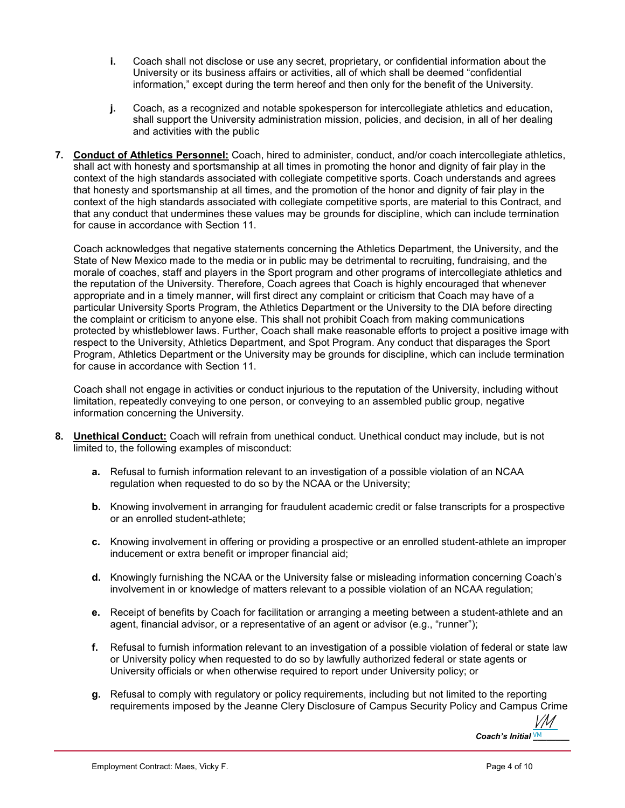- i. Coach shall not disclose or use any secret, proprietary, or confidential information about the University or its business affairs or activities, all of which shall be deemed "confidential information," except during the term hereof and then only for the benefit of the University.
- j. Coach, as a recognized and notable spokesperson for intercollegiate athletics and education, shall support the University administration mission, policies, and decision, in all of her dealing and activities with the public
- 7. Conduct of Athletics Personnel: Coach, hired to administer, conduct, and/or coach intercollegiate athletics, shall act with honesty and sportsmanship at all times in promoting the honor and dignity of fair play in the context of the high standards associated with collegiate competitive sports. Coach understands and agrees that honesty and sportsmanship at all times, and the promotion of the honor and dignity of fair play in the context of the high standards associated with collegiate competitive sports, are material to this Contract, and that any conduct that undermines these values may be grounds for discipline, which can include termination for cause in accordance with Section 11.

Coach acknowledges that negative statements concerning the Athletics Department, the University, and the State of New Mexico made to the media or in public may be detrimental to recruiting, fundraising, and the morale of coaches, staff and players in the Sport program and other programs of intercollegiate athletics and the reputation of the University. Therefore, Coach agrees that Coach is highly encouraged that whenever appropriate and in a timely manner, will first direct any complaint or criticism that Coach may have of a particular University Sports Program, the Athletics Department or the University to the DIA before directing the complaint or criticism to anyone else. This shall not prohibit Coach from making communications protected by whistleblower laws. Further, Coach shall make reasonable efforts to project a positive image with respect to the University, Athletics Department, and Spot Program. Any conduct that disparages the Sport Program, Athletics Department or the University may be grounds for discipline, which can include termination for cause in accordance with Section 11.

Coach shall not engage in activities or conduct injurious to the reputation of the University, including without limitation, repeatedly conveying to one person, or conveying to an assembled public group, negative information concerning the University.

- 8. Unethical Conduct: Coach will refrain from unethical conduct. Unethical conduct may include, but is not limited to, the following examples of misconduct:
	- a. Refusal to furnish information relevant to an investigation of a possible violation of an NCAA regulation when requested to do so by the NCAA or the University;
	- **b.** Knowing involvement in arranging for fraudulent academic credit or false transcripts for a prospective or an enrolled student-athlete;
	- c. Knowing involvement in offering or providing a prospective or an enrolled student-athlete an improper inducement or extra benefit or improper financial aid;
	- d. Knowingly furnishing the NCAA or the University false or misleading information concerning Coach's involvement in or knowledge of matters relevant to a possible violation of an NCAA regulation;
	- e. Receipt of benefits by Coach for facilitation or arranging a meeting between a student-athlete and an agent, financial advisor, or a representative of an agent or advisor (e.g., "runner");
	- f. Refusal to furnish information relevant to an investigation of a possible violation of federal or state law or University policy when requested to do so by lawfully authorized federal or state agents or University officials or when otherwise required to report under University policy; or
	- g. Refusal to comply with regulatory or policy requirements, including but not limited to the reporting requirements imposed by the Jeanne Clery Disclosure of Campus Security Policy and Campus Crime

Coach's Initial  $\frac{VM}{M}$ [VM](https://secure.na2.echosign.com/verifier?tx=CBJCHBCAABAA42YKeO8h1K705N6JrRT-3W76QvjH2LVO)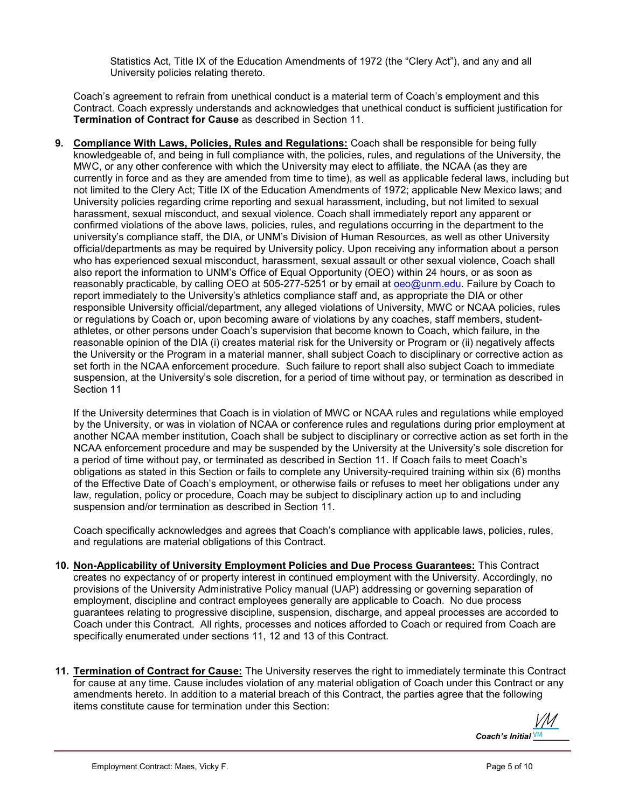Statistics Act, Title IX of the Education Amendments of 1972 (the "Clery Act"), and any and all University policies relating thereto.

Coach's agreement to refrain from unethical conduct is a material term of Coach's employment and this Contract. Coach expressly understands and acknowledges that unethical conduct is sufficient justification for Termination of Contract for Cause as described in Section 11.

9. Compliance With Laws, Policies, Rules and Regulations: Coach shall be responsible for being fully knowledgeable of, and being in full compliance with, the policies, rules, and regulations of the University, the MWC, or any other conference with which the University may elect to affiliate, the NCAA (as they are currently in force and as they are amended from time to time), as well as applicable federal laws, including but not limited to the Clery Act; Title IX of the Education Amendments of 1972; applicable New Mexico laws; and University policies regarding crime reporting and sexual harassment, including, but not limited to sexual harassment, sexual misconduct, and sexual violence. Coach shall immediately report any apparent or confirmed violations of the above laws, policies, rules, and regulations occurring in the department to the university's compliance staff, the DIA, or UNM's Division of Human Resources, as well as other University official/departments as may be required by University policy. Upon receiving any information about a person who has experienced sexual misconduct, harassment, sexual assault or other sexual violence, Coach shall also report the information to UNM's Office of Equal Opportunity (OEO) within 24 hours, or as soon as reasonably practicable, by calling OEO at 505-277-5251 or by email at oeo@unm.edu. Failure by Coach to report immediately to the University's athletics compliance staff and, as appropriate the DIA or other responsible University official/department, any alleged violations of University, MWC or NCAA policies, rules or regulations by Coach or, upon becoming aware of violations by any coaches, staff members, studentathletes, or other persons under Coach's supervision that become known to Coach, which failure, in the reasonable opinion of the DIA (i) creates material risk for the University or Program or (ii) negatively affects the University or the Program in a material manner, shall subject Coach to disciplinary or corrective action as set forth in the NCAA enforcement procedure. Such failure to report shall also subject Coach to immediate suspension, at the University's sole discretion, for a period of time without pay, or termination as described in Section 11

If the University determines that Coach is in violation of MWC or NCAA rules and regulations while employed by the University, or was in violation of NCAA or conference rules and regulations during prior employment at another NCAA member institution, Coach shall be subject to disciplinary or corrective action as set forth in the NCAA enforcement procedure and may be suspended by the University at the University's sole discretion for a period of time without pay, or terminated as described in Section 11. If Coach fails to meet Coach's obligations as stated in this Section or fails to complete any University-required training within six (6) months of the Effective Date of Coach's employment, or otherwise fails or refuses to meet her obligations under any law, regulation, policy or procedure, Coach may be subject to disciplinary action up to and including suspension and/or termination as described in Section 11.

Coach specifically acknowledges and agrees that Coach's compliance with applicable laws, policies, rules, and regulations are material obligations of this Contract.

- 10. Non-Applicability of University Employment Policies and Due Process Guarantees: This Contract creates no expectancy of or property interest in continued employment with the University. Accordingly, no provisions of the University Administrative Policy manual (UAP) addressing or governing separation of employment, discipline and contract employees generally are applicable to Coach. No due process guarantees relating to progressive discipline, suspension, discharge, and appeal processes are accorded to Coach under this Contract. All rights, processes and notices afforded to Coach or required from Coach are specifically enumerated under sections 11, 12 and 13 of this Contract.
- 11. Termination of Contract for Cause: The University reserves the right to immediately terminate this Contract for cause at any time. Cause includes violation of any material obligation of Coach under this Contract or any amendments hereto. In addition to a material breach of this Contract, the parties agree that the following items constitute cause for termination under this Section:

Coach's Initial  $\frac{VM}{M}$ [VM](https://secure.na2.echosign.com/verifier?tx=CBJCHBCAABAA42YKeO8h1K705N6JrRT-3W76QvjH2LVO)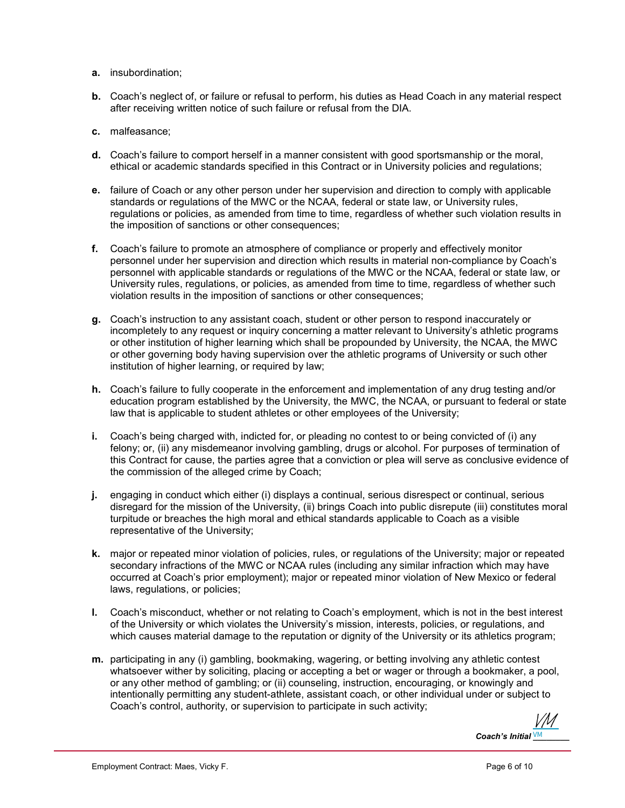- a. insubordination;
- b. Coach's neglect of, or failure or refusal to perform, his duties as Head Coach in any material respect after receiving written notice of such failure or refusal from the DIA.
- c. malfeasance;
- d. Coach's failure to comport herself in a manner consistent with good sportsmanship or the moral, ethical or academic standards specified in this Contract or in University policies and regulations;
- e. failure of Coach or any other person under her supervision and direction to comply with applicable standards or regulations of the MWC or the NCAA, federal or state law, or University rules, regulations or policies, as amended from time to time, regardless of whether such violation results in the imposition of sanctions or other consequences;
- f. Coach's failure to promote an atmosphere of compliance or properly and effectively monitor personnel under her supervision and direction which results in material non-compliance by Coach's personnel with applicable standards or regulations of the MWC or the NCAA, federal or state law, or University rules, regulations, or policies, as amended from time to time, regardless of whether such violation results in the imposition of sanctions or other consequences;
- g. Coach's instruction to any assistant coach, student or other person to respond inaccurately or incompletely to any request or inquiry concerning a matter relevant to University's athletic programs or other institution of higher learning which shall be propounded by University, the NCAA, the MWC or other governing body having supervision over the athletic programs of University or such other institution of higher learning, or required by law;
- h. Coach's failure to fully cooperate in the enforcement and implementation of any drug testing and/or education program established by the University, the MWC, the NCAA, or pursuant to federal or state law that is applicable to student athletes or other employees of the University;
- i. Coach's being charged with, indicted for, or pleading no contest to or being convicted of (i) any felony; or, (ii) any misdemeanor involving gambling, drugs or alcohol. For purposes of termination of this Contract for cause, the parties agree that a conviction or plea will serve as conclusive evidence of the commission of the alleged crime by Coach;
- j. engaging in conduct which either (i) displays a continual, serious disrespect or continual, serious disregard for the mission of the University, (ii) brings Coach into public disrepute (iii) constitutes moral turpitude or breaches the high moral and ethical standards applicable to Coach as a visible representative of the University;
- k. major or repeated minor violation of policies, rules, or regulations of the University; major or repeated secondary infractions of the MWC or NCAA rules (including any similar infraction which may have occurred at Coach's prior employment); major or repeated minor violation of New Mexico or federal laws, regulations, or policies;
- l. Coach's misconduct, whether or not relating to Coach's employment, which is not in the best interest of the University or which violates the University's mission, interests, policies, or regulations, and which causes material damage to the reputation or dignity of the University or its athletics program;
- m. participating in any (i) gambling, bookmaking, wagering, or betting involving any athletic contest whatsoever wither by soliciting, placing or accepting a bet or wager or through a bookmaker, a pool, or any other method of gambling; or (ii) counseling, instruction, encouraging, or knowingly and intentionally permitting any student-athlete, assistant coach, or other individual under or subject to Coach's control, authority, or supervision to participate in such activity;

Coach's Initial  $\frac{VM}{M}$ [VM](https://secure.na2.echosign.com/verifier?tx=CBJCHBCAABAA42YKeO8h1K705N6JrRT-3W76QvjH2LVO)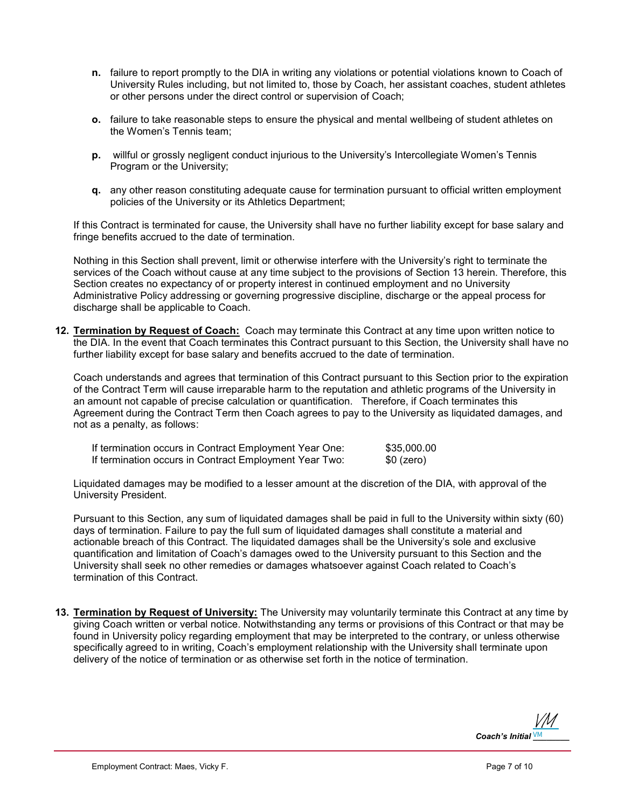- n. failure to report promptly to the DIA in writing any violations or potential violations known to Coach of University Rules including, but not limited to, those by Coach, her assistant coaches, student athletes or other persons under the direct control or supervision of Coach;
- o. failure to take reasonable steps to ensure the physical and mental wellbeing of student athletes on the Women's Tennis team;
- p. willful or grossly negligent conduct injurious to the University's Intercollegiate Women's Tennis Program or the University;
- q. any other reason constituting adequate cause for termination pursuant to official written employment policies of the University or its Athletics Department;

If this Contract is terminated for cause, the University shall have no further liability except for base salary and fringe benefits accrued to the date of termination.

Nothing in this Section shall prevent, limit or otherwise interfere with the University's right to terminate the services of the Coach without cause at any time subject to the provisions of Section 13 herein. Therefore, this Section creates no expectancy of or property interest in continued employment and no University Administrative Policy addressing or governing progressive discipline, discharge or the appeal process for discharge shall be applicable to Coach.

12. Termination by Request of Coach: Coach may terminate this Contract at any time upon written notice to the DIA. In the event that Coach terminates this Contract pursuant to this Section, the University shall have no further liability except for base salary and benefits accrued to the date of termination.

Coach understands and agrees that termination of this Contract pursuant to this Section prior to the expiration of the Contract Term will cause irreparable harm to the reputation and athletic programs of the University in an amount not capable of precise calculation or quantification. Therefore, if Coach terminates this Agreement during the Contract Term then Coach agrees to pay to the University as liquidated damages, and not as a penalty, as follows:

| If termination occurs in Contract Employment Year One: | \$35,000.00 |
|--------------------------------------------------------|-------------|
| If termination occurs in Contract Employment Year Two: | \$0 (zero)  |

Liquidated damages may be modified to a lesser amount at the discretion of the DIA, with approval of the University President.

Pursuant to this Section, any sum of liquidated damages shall be paid in full to the University within sixty (60) days of termination. Failure to pay the full sum of liquidated damages shall constitute a material and actionable breach of this Contract. The liquidated damages shall be the University's sole and exclusive quantification and limitation of Coach's damages owed to the University pursuant to this Section and the University shall seek no other remedies or damages whatsoever against Coach related to Coach's termination of this Contract.

13. Termination by Request of University: The University may voluntarily terminate this Contract at any time by giving Coach written or verbal notice. Notwithstanding any terms or provisions of this Contract or that may be found in University policy regarding employment that may be interpreted to the contrary, or unless otherwise specifically agreed to in writing, Coach's employment relationship with the University shall terminate upon delivery of the notice of termination or as otherwise set forth in the notice of termination.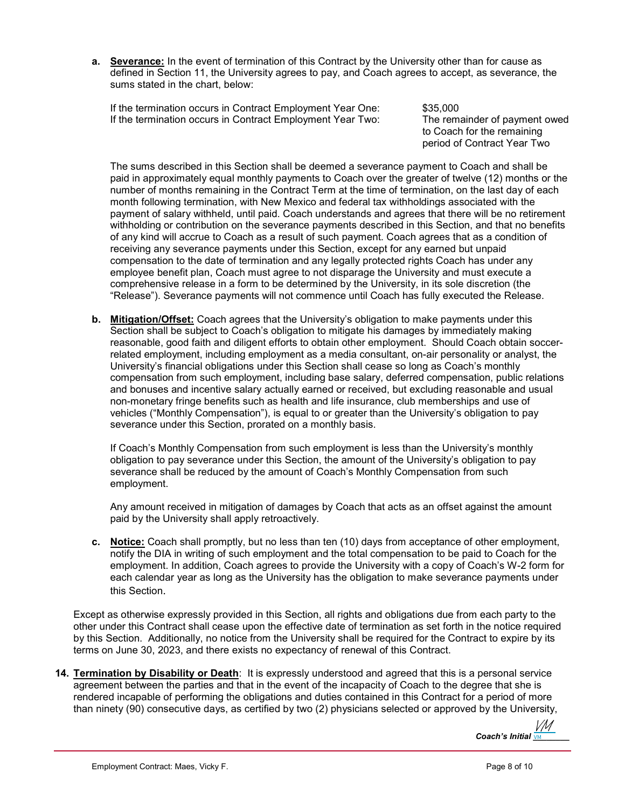a. Severance: In the event of termination of this Contract by the University other than for cause as defined in Section 11, the University agrees to pay, and Coach agrees to accept, as severance, the sums stated in the chart, below:

If the termination occurs in Contract Employment Year One: \$35,000 If the termination occurs in Contract Employment Year Two: The remainder of payment owed

to Coach for the remaining period of Contract Year Two

The sums described in this Section shall be deemed a severance payment to Coach and shall be paid in approximately equal monthly payments to Coach over the greater of twelve (12) months or the number of months remaining in the Contract Term at the time of termination, on the last day of each month following termination, with New Mexico and federal tax withholdings associated with the payment of salary withheld, until paid. Coach understands and agrees that there will be no retirement withholding or contribution on the severance payments described in this Section, and that no benefits of any kind will accrue to Coach as a result of such payment. Coach agrees that as a condition of receiving any severance payments under this Section, except for any earned but unpaid compensation to the date of termination and any legally protected rights Coach has under any employee benefit plan, Coach must agree to not disparage the University and must execute a comprehensive release in a form to be determined by the University, in its sole discretion (the "Release"). Severance payments will not commence until Coach has fully executed the Release.

b. Mitigation/Offset: Coach agrees that the University's obligation to make payments under this Section shall be subject to Coach's obligation to mitigate his damages by immediately making reasonable, good faith and diligent efforts to obtain other employment. Should Coach obtain soccerrelated employment, including employment as a media consultant, on-air personality or analyst, the University's financial obligations under this Section shall cease so long as Coach's monthly compensation from such employment, including base salary, deferred compensation, public relations and bonuses and incentive salary actually earned or received, but excluding reasonable and usual non-monetary fringe benefits such as health and life insurance, club memberships and use of vehicles ("Monthly Compensation"), is equal to or greater than the University's obligation to pay severance under this Section, prorated on a monthly basis.

If Coach's Monthly Compensation from such employment is less than the University's monthly obligation to pay severance under this Section, the amount of the University's obligation to pay severance shall be reduced by the amount of Coach's Monthly Compensation from such employment.

Any amount received in mitigation of damages by Coach that acts as an offset against the amount paid by the University shall apply retroactively.

c. Notice: Coach shall promptly, but no less than ten (10) days from acceptance of other employment, notify the DIA in writing of such employment and the total compensation to be paid to Coach for the employment. In addition, Coach agrees to provide the University with a copy of Coach's W-2 form for each calendar year as long as the University has the obligation to make severance payments under this Section.

Except as otherwise expressly provided in this Section, all rights and obligations due from each party to the other under this Contract shall cease upon the effective date of termination as set forth in the notice required by this Section. Additionally, no notice from the University shall be required for the Contract to expire by its terms on June 30, 2023, and there exists no expectancy of renewal of this Contract.

14. Termination by Disability or Death: It is expressly understood and agreed that this is a personal service agreement between the parties and that in the event of the incapacity of Coach to the degree that she is rendered incapable of performing the obligations and duties contained in this Contract for a period of more than ninety (90) consecutive days, as certified by two (2) physicians selected or approved by the University,

> Coach's Initial  $\overline{v_M}$ VM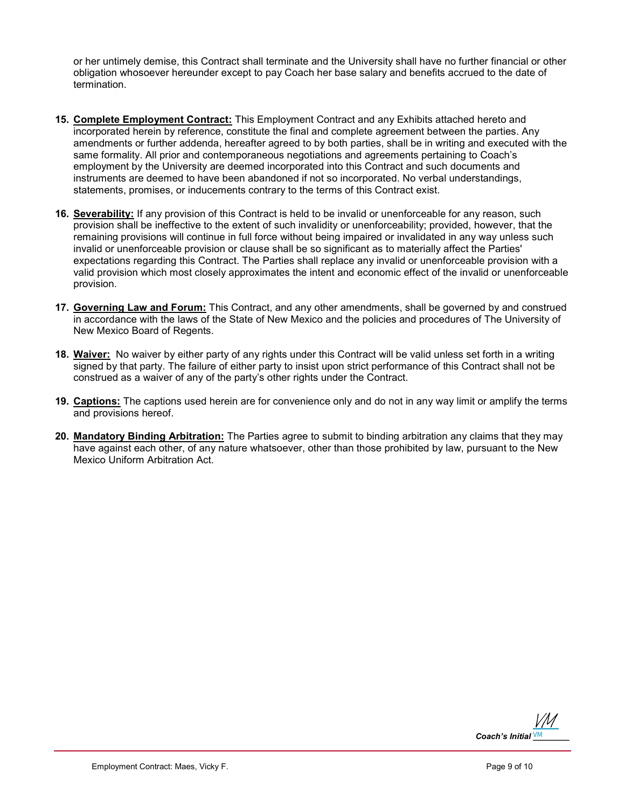or her untimely demise, this Contract shall terminate and the University shall have no further financial or other obligation whosoever hereunder except to pay Coach her base salary and benefits accrued to the date of termination.

- 15. Complete Employment Contract: This Employment Contract and any Exhibits attached hereto and incorporated herein by reference, constitute the final and complete agreement between the parties. Any amendments or further addenda, hereafter agreed to by both parties, shall be in writing and executed with the same formality. All prior and contemporaneous negotiations and agreements pertaining to Coach's employment by the University are deemed incorporated into this Contract and such documents and instruments are deemed to have been abandoned if not so incorporated. No verbal understandings, statements, promises, or inducements contrary to the terms of this Contract exist.
- 16. Severability: If any provision of this Contract is held to be invalid or unenforceable for any reason, such provision shall be ineffective to the extent of such invalidity or unenforceability; provided, however, that the remaining provisions will continue in full force without being impaired or invalidated in any way unless such invalid or unenforceable provision or clause shall be so significant as to materially affect the Parties' expectations regarding this Contract. The Parties shall replace any invalid or unenforceable provision with a valid provision which most closely approximates the intent and economic effect of the invalid or unenforceable provision.
- 17. Governing Law and Forum: This Contract, and any other amendments, shall be governed by and construed in accordance with the laws of the State of New Mexico and the policies and procedures of The University of New Mexico Board of Regents.
- 18. Waiver: No waiver by either party of any rights under this Contract will be valid unless set forth in a writing signed by that party. The failure of either party to insist upon strict performance of this Contract shall not be construed as a waiver of any of the party's other rights under the Contract.
- 19. Captions: The captions used herein are for convenience only and do not in any way limit or amplify the terms and provisions hereof.
- 20. Mandatory Binding Arbitration: The Parties agree to submit to binding arbitration any claims that they may have against each other, of any nature whatsoever, other than those prohibited by law, pursuant to the New Mexico Uniform Arbitration Act.